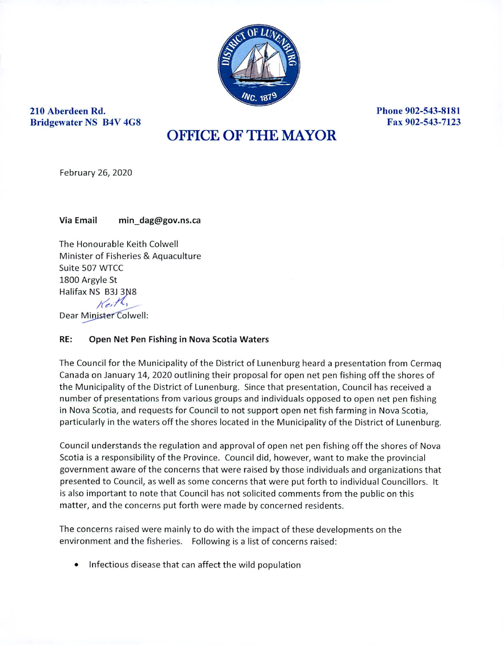

**210 Aberdeen Rd. Phone 902-543-8181 Bridgewater NS B4V 4G8 Fax 902-543-7123** 

## OFFICE OF THE MAYOR

February 26, 2020

Via Email min\_dag@gov.ns.ca

The Honourable Keith Colwell Minister of Fisheries & Aquaculture Suite 507 WTCC 1800 Argyle St Halifax NS B3J 3N8  $Kei<sup>1</sup>$ 

Dear Minister Colwell:

## **RE: Open Net Pen Fishing in Nova Scotia Waters**

The Council for the Municipality of the District of Lunenburg heard a presentation from Cermaq Canada on January 14, 2020 outlining their proposal for open net pen fishing off the shores of the Municipality of the District of Lunenburg. Since that presentation, Council has received a number of presentations from various groups and individuals opposed to open net pen fishing in Nova Scotia, and requests for Council to not support open net fish farming in Nova Scotia, particularly in the waters off the shores located in the Municipality of the District of Lunenburg.

Council understands the regulation and approval of open net pen fishing off the shores of Nova Scotia is a responsibility of the Province. Council did, however, want to make the provincial government aware of the concerns that were raised by those individuals and organizations that presented to Council, as well as some concerns that were put forth to individual Councillors. It is also important to note that Council has not solicited comments from the public on this matter, and the concerns put forth were made by concerned residents.

The concerns raised were mainly to do with the impact of these developments on the environment and the fisheries. Following is a list of concerns raised:

• Infectious disease that can affect the wild population